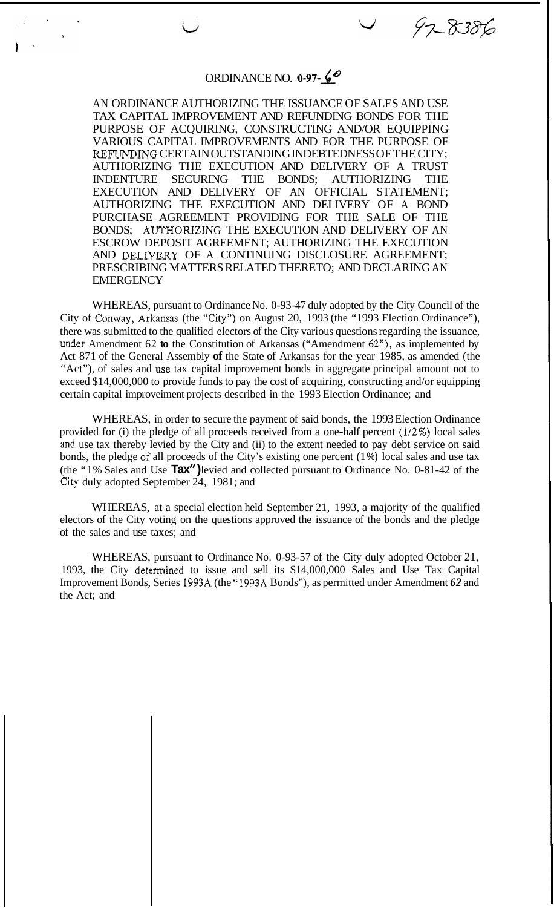## ORDINANCE NO. **0-97-60**

97-8386

AN ORDINANCE AUTHORIZING THE ISSUANCE OF SALES AND USE TAX CAPITAL IMPROVEMENT AND REFUNDING BONDS FOR THE PURPOSE OF ACQUIRING, CONSTRUCTING AND/OR EQUIPPING VARIOUS CAPITAL IMPROVEMENTS AND FOR THE PURPOSE OF RERTNDING CERTAIN OUTSTANDING INDEBTEDNESS OF THE CITY; AUTHORIZING THE EXECUTION AND DELIVERY OF A TRUST INDENTURE SECURING THE BONDS; AUTHORIZING THE EXECUTION AND DELIVERY OF AN OFFICIAL STATEMENT; AUTHORIZING THE EXECUTION AND DELIVERY OF A BOND PURCHASE AGREEMENT PROVIDING FOR THE SALE OF THE BONDS; AUTHORIZING THE EXECUTION AND DELIVERY OF AN ESCROW DEPOSIT AGREEMENT; AUTHORIZING THE EXECUTION AND DELIVERY OF A CONTINUING DISCLOSURE AGREEMENT; PRESCRIBING MATTERS RELATED THERETO; AND DECLARING AN **EMERGENCY** 

WHEREAS, pursuant to Ordinance No. 0-93-47 duly adopted by the City Council of the City of Conway, Arkansas (the "City") on August 20, 1993 (the "1993 Election Ordinance"), there was submitted to the qualified electors of the City various questions regarding the issuance, under Amendment 62 **to** the Constitution of Arkansas ("Amendment 62"), as implemented by Act 871 of the General Assembly **of** the State of Arkansas for the year 1985, as amended (the "Act"), of sales and use tax capital improvement bonds in aggregate principal amount not to exceed \$14,000,000 to provide funds to pay the cost of acquiring, constructing and/or equipping certain capital improveiment projects described in the 1993 Election Ordinance; and

WHEREAS, in order to secure the payment of said bonds, the 1993 Election Ordinance provided for (i) the pledge of all proceeds received from a one-half percent  $(1/2%)$  local sales and use tax thereby levied by the City and (ii) to the extent needed to pay debt service on said bonds, the pledge **of** all proceeds of the City's existing one percent (1 %) local sales and use tax (the "1% Sales and Use **Tax")** levied and collected pursuant to Ordinance No. 0-81-42 of the City duly adopted September 24, 1981; and

WHEREAS, at a special election held September 21, 1993, a majority of the qualified electors of the City voting on the questions approved the issuance of the bonds and the pledge of the sales and use taxes; and

WHEREAS, pursuant to Ordinance No. 0-93-57 of the City duly adopted October 21, 1993, the City determined to issue and sell its \$14,000,000 Sales and Use Tax Capital Improvement Bonds, Series 1993A (the " 1993A Bonds"), as permitted under Amendment *62* and the Act; and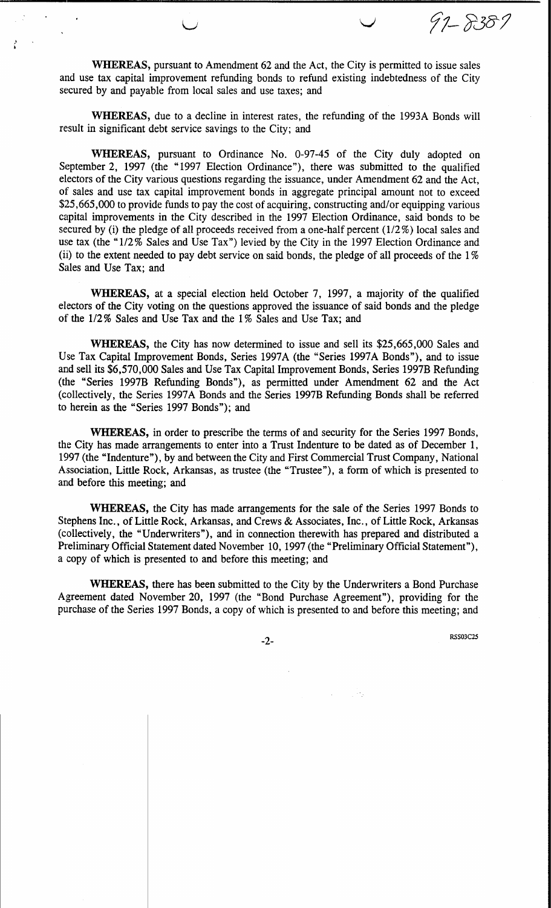97-8387

WHEREAS, pursuant to Amendment 62 and the Act, the City is permitted to issue sales and use tax capital improvement refunding bonds to refund existing indebtedness of the City secured by and payable from local sales and use taxes; and

WHEREAS, due to a decline in interest rates, the refunding of the 1993A Bonds will result in significant debt service savings to the City; and

WHEREAS, pursuant to Ordinance No. 0-97-45 of the City duly adopted on September 2, 1997 (the "1997 Election Ordinance"), there was submitted to the qualified electors of the City various questions regarding the issuance, under Amendment 62 and the Act, of sales and use tax capital improvement bonds in aggregate principal amount not to exceed \$25,665,000 to provide funds to pay the cost of acquiring, constructing and/or equipping various capital improvements in the City described in the 1997 Election Ordinance, said bonds to be secured by (i) the pledge of all proceeds received from a one-half percent  $(1/2\%)$  local sales and use tax (the "1/2% Sales and Use Tax") levied by the City in the 1997 Election Ordinance and (ii) to the extent needed to pay debt service on said bonds, the pledge of all proceeds of the 1% Sales and Use Tax; and

WHEREAS, at a special election held October 7, 1997, a majority of the qualified electors of the City voting on the questions approved the issuance of said bonds and the pledge of the 1/2% Sales and Use Tax and the 1% Sales and Use Tax; and

WHEREAS, the City has now determined to issue and sell its \$25,665,000 Sales and Use Tax Capital Improvement Bonds, Series 1997A (the "Series 1997A Bonds"), and to issue and sell its \$6,570,000 Sales and Use Tax Capital Improvement Bonds, Series 1997B Refunding (the "Series 1997B Refunding Bonds"), as permitted under Amendment 62 and the Act (collectively, the Series 1997A Bonds and the Series 1997B Refunding Bonds shall be referred to herein as the "Series 1997 Bonds"); and

WHEREAS, in order to prescribe the terms of and security for the Series 1997 Bonds, the City has made arrangements to enter into a Trust Indenture to be dated as of December 1, 1997 (the "Indenture"), by and between the City and First Commercial Trust Company, National Association, Little Rock, Arkansas, as trustee (the "Trustee"), a form of which is presented to and before this meeting; and

WHEREAS, the City has made arrangements for the sale of the Series 1997 Bonds to Stephens Inc., of Little Rock, Arkansas, and Crews & Associates, Inc., of Little Rock, Arkansas (collectively, the "Underwriters"), and in connection therewith has prepared and distributed a Preliminary Official Statement dated November 10, 1997 (the "Preliminary Official Statement"), a copy of which is presented to and before this meeting; and

WHEREAS, there has been submitted to the City by the Underwriters a Bond Purchase Agreement dated November 20, 1997 (the "Bond Purchase Agreement"), providing for the purchase of the Series 1997 Bonds, a copy of which is presented to and before this meeting; and

 $-2-$ 

**RSS03C25**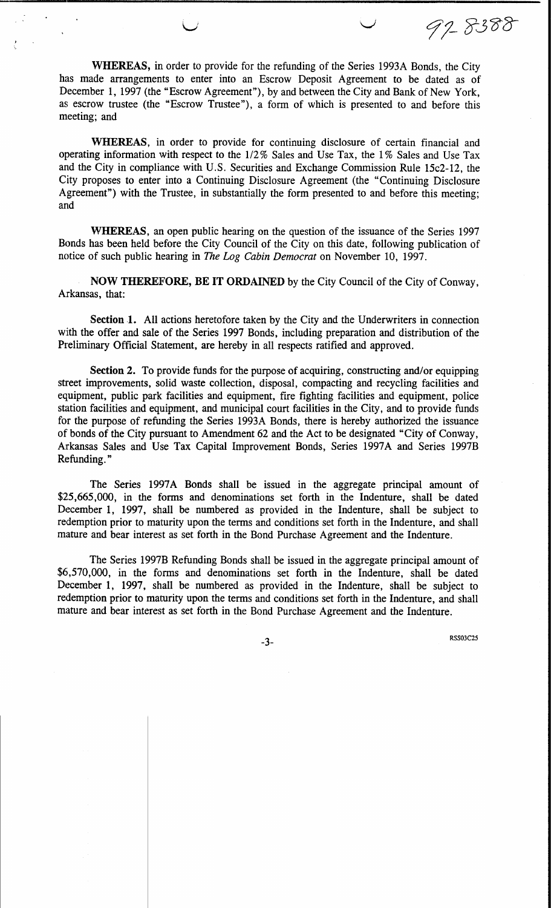WHEREAS, in order to provide for the refunding of the Series 1993A Bonds, the City has made arrangements to enter into an Escrow Deposit Agreement to be dated as of December 1, 1997 (the "Escrow Agreement"), by and between the City and Bank of New York, as escrow trustee (the "Escrow Trustee"), a form of which is presented to and before this meeting; and

WHEREAS, in order to provide for continuing disclosure of certain financial and operating information with respect to the 1/2% Sales and Use Tax, the 1% Sales and Use Tax and the City in compliance with U.S. Securities and Exchange Commission Rule 15c2-12, the City proposes to enter into a Continuing Disclosure Agreement (the "Continuing Disclosure Agreement") with the Trustee, in substantially the form presented to and before this meeting; and

WHEREAS, an open public hearing on the question of the issuance of the Series 1997 Bonds has been held before the City Council of the City on this date, following publication of notice of such public hearing in The Log Cabin Democrat on November 10, 1997.

NOW THEREFORE, BE IT ORDAINED by the City Council of the City of Conway, Arkansas, that:

Section 1. All actions heretofore taken by the City and the Underwriters in connection with the offer and sale of the Series 1997 Bonds, including preparation and distribution of the Preliminary Official Statement, are hereby in all respects ratified and approved.

Section 2. To provide funds for the purpose of acquiring, constructing and/or equipping street improvements, solid waste collection, disposal, compacting and recycling facilities and equipment, public park facilities and equipment, fire fighting facilities and equipment, police station facilities and equipment, and municipal court facilities in the City, and to provide funds for the purpose of refunding the Series 1993A Bonds, there is hereby authorized the issuance of bonds of the City pursuant to Amendment 62 and the Act to be designated "City of Conway, Arkansas Sales and Use Tax Capital Improvement Bonds, Series 1997A and Series 1997B Refunding."

The Series 1997A Bonds shall be issued in the aggregate principal amount of \$25,665,000, in the forms and denominations set forth in the Indenture, shall be dated December 1, 1997, shall be numbered as provided in the Indenture, shall be subject to redemption prior to maturity upon the terms and conditions set forth in the Indenture, and shall mature and bear interest as set forth in the Bond Purchase Agreement and the Indenture.

The Series 1997B Refunding Bonds shall be issued in the aggregate principal amount of \$6,570,000, in the forms and denominations set forth in the Indenture, shall be dated December 1, 1997, shall be numbered as provided in the Indenture, shall be subject to redemption prior to maturity upon the terms and conditions set forth in the Indenture, and shall mature and bear interest as set forth in the Bond Purchase Agreement and the Indenture.

 $-3-$ 

**RSS03C25** 

97-8388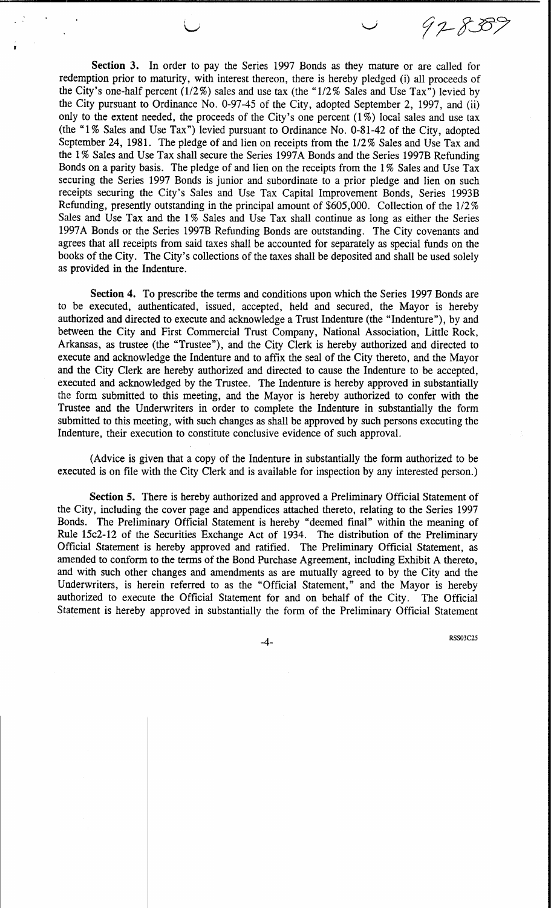Section 3. In order to pay the Series 1997 Bonds as they mature or are called for redemption prior to maturity, with interest thereon, there is hereby pledged (i) all proceeds of the City's one-half percent ( $1/2\%$ ) sales and use tax (the " $1/2\%$  Sales and Use Tax") levied by the City pursuant to Ordinance No. 0-97-45 of the City, adopted September 2, 1997, and (ii) only to the extent needed, the proceeds of the City's one percent  $(1\%)$  local sales and use tax (the "1% Sales and Use Tax") levied pursuant to Ordinance No. 0-81-42 of the City, adopted September 24, 1981. The pledge of and lien on receipts from the 1/2% Sales and Use Tax and the 1% Sales and Use Tax shall secure the Series 1997A Bonds and the Series 1997B Refunding Bonds on a parity basis. The pledge of and lien on the receipts from the 1% Sales and Use Tax securing the Series 1997 Bonds is junior and subordinate to a prior pledge and lien on such receipts securing the City's Sales and Use Tax Capital Improvement Bonds, Series 1993B Refunding, presently outstanding in the principal amount of \$605,000. Collection of the 1/2% Sales and Use Tax and the 1% Sales and Use Tax shall continue as long as either the Series 1997A Bonds or the Series 1997B Refunding Bonds are outstanding. The City covenants and agrees that all receipts from said taxes shall be accounted for separately as special funds on the books of the City. The City's collections of the taxes shall be deposited and shall be used solely as provided in the Indenture.

Section 4. To prescribe the terms and conditions upon which the Series 1997 Bonds are to be executed, authenticated, issued, accepted, held and secured, the Mayor is hereby authorized and directed to execute and acknowledge a Trust Indenture (the "Indenture"), by and between the City and First Commercial Trust Company, National Association, Little Rock, Arkansas, as trustee (the "Trustee"), and the City Clerk is hereby authorized and directed to execute and acknowledge the Indenture and to affix the seal of the City thereto, and the Mayor and the City Clerk are hereby authorized and directed to cause the Indenture to be accepted, executed and acknowledged by the Trustee. The Indenture is hereby approved in substantially the form submitted to this meeting, and the Mayor is hereby authorized to confer with the Trustee and the Underwriters in order to complete the Indenture in substantially the form submitted to this meeting, with such changes as shall be approved by such persons executing the Indenture, their execution to constitute conclusive evidence of such approval.

(Advice is given that a copy of the Indenture in substantially the form authorized to be executed is on file with the City Clerk and is available for inspection by any interested person.)

**Section 5.** There is hereby authorized and approved a Preliminary Official Statement of the City, including the cover page and appendices attached thereto, relating to the Series 1997 Bonds. The Preliminary Official Statement is hereby "deemed final" within the meaning of Rule 15c2-12 of the Securities Exchange Act of 1934. The distribution of the Preliminary Official Statement is hereby approved and ratified. The Preliminary Official Statement, as amended to conform to the terms of the Bond Purchase Agreement, including Exhibit A thereto, and with such other changes and amendments as are mutually agreed to by the City and the Underwriters, is herein referred to as the "Official Statement," and the Mayor is hereby authorized to execute the Official Statement for and on behalf of the City. The Official Statement is hereby approved in substantially the form of the Preliminary Official Statement

**RSS03C25** 

97-8387

-4-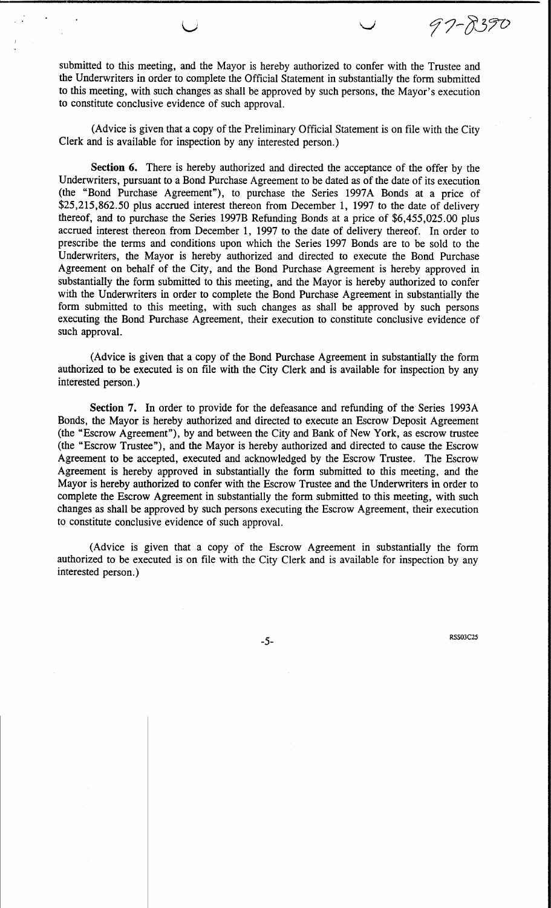submitted to this meeting, and the Mayor is hereby authorized to confer with the Trustee and the Underwriters in order to complete the Official Statement in substantially the form submitted to this meeting, with such changes as shall be approved by such persons, the Mayor's execution to constitute conclusive evidence of such approval.

(Advice is given that a copy of the Preliminary Official Statement is on file with the City Clerk and is available for inspection by any interested person.)

Section 6. There is hereby authorized and directed the acceptance of the offer by the Underwriters, pursuant to a Bond Purchase Agreement to be dated as of the date of its execution (the "Bond Purchase Agreement"), to purchase the Series 1997A Bonds at a price of \$25,215,862.50 plus accrued interest thereon from December 1, 1997 to the date of delivery thereof, and to purchase the Series 1997B Refunding Bonds at a price of \$6,455,025.00 plus accrued interest thereon from December 1, 1997 to the date of delivery thereof. In order to prescribe the terms and conditions upon which the Series 1997 Bonds are to be sold to the Underwriters, the Mayor is hereby authorized and directed to execute the Bond Purchase Agreement on behalf of the City, and the Bond Purchase Agreement is hereby approved in substantially the form submitted to this meeting, and the Mayor is hereby authorized to confer with the Underwriters in order to complete the Bond Purchase Agreement in substantially the form submitted to this meeting, with such changes as shall be approved by such persons executing the Bond Purchase Agreement, their execution to constitute conclusive evidence of such approval.

(Advice is given that a copy of the Bond Purchase Agreement in substantially the form authorized to be executed is on file with the City Clerk and is available for inspection by any interested person.)

Section 7. In order to provide for the defeasance and refunding of the Series 1993A Bonds, the Mayor is hereby authorized and directed to execute an Escrow Deposit Agreement (the "Escrow Agreement"), by and between the City and Bank of New York, as escrow trustee (the "Escrow Trustee"), and the Mayor is hereby authorized and directed to cause the Escrow Agreement to be accepted, executed and acknowledged by the Escrow Trustee. The Escrow Agreement is hereby approved in substantially the form submitted to this meeting, and the Mayor is hereby authorized to confer with the Escrow Trustee and the Underwriters in order to complete the Escrow Agreement in substantially the form submitted to this meeting, with such changes as shall be approved by such persons executing the Escrow Agreement, their execution to constitute conclusive evidence of such approval.

(Advice is given that a copy of the Escrow Agreement in substantially the form authorized to be executed is on file with the City Clerk and is available for inspection by any interested person.)

**RSS03C25** 

97-8390

 $-5-$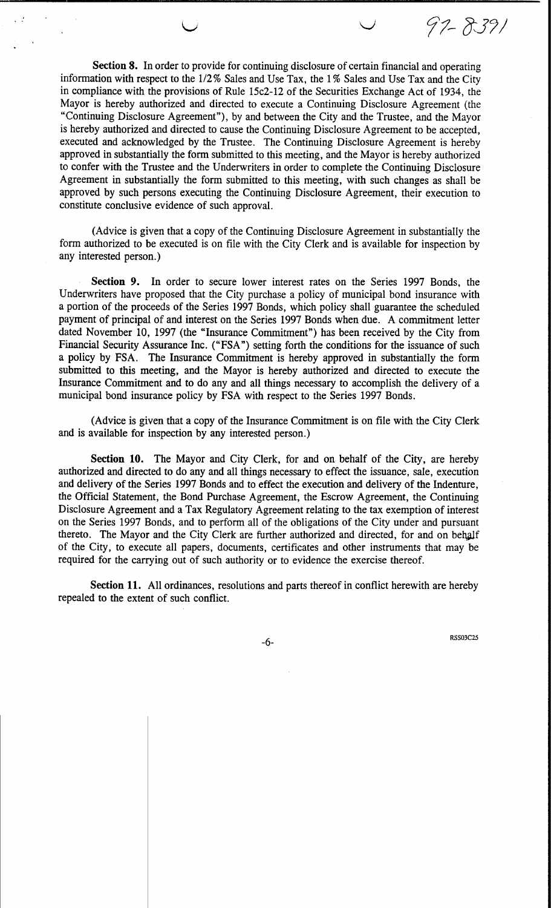Section 8. In order to provide for continuing disclosure of certain financial and operating information with respect to the 1/2% Sales and Use Tax, the 1% Sales and Use Tax and the City in compliance with the provisions of Rule 15c2-12 of the Securities Exchange Act of 1934, the Mayor is hereby authorized and directed to execute a Continuing Disclosure Agreement (the "Continuing Disclosure Agreement"), by and between the City and the Trustee, and the Mayor is hereby authorized and directed to cause the Continuing Disclosure Agreement to be accepted, executed and acknowledged by the Trustee. The Continuing Disclosure Agreement is hereby approved in substantially the form submitted to this meeting, and the Mayor is hereby authorized to confer with the Trustee and the Underwriters in order to complete the Continuing Disclosure Agreement in substantially the form submitted to this meeting, with such changes as shall be approved by such persons executing the Continuing Disclosure Agreement, their execution to constitute conclusive evidence of such approval.

(Advice is given that a copy of the Continuing Disclosure Agreement in substantially the form authorized to be executed is on file with the City Clerk and is available for inspection by any interested person.)

Section 9. In order to secure lower interest rates on the Series 1997 Bonds, the Underwriters have proposed that the City purchase a policy of municipal bond insurance with a portion of the proceeds of the Series 1997 Bonds, which policy shall guarantee the scheduled payment of principal of and interest on the Series 1997 Bonds when due. A commitment letter dated November 10, 1997 (the "Insurance Commitment") has been received by the City from Financial Security Assurance Inc. ("FSA") setting forth the conditions for the issuance of such a policy by FSA. The Insurance Commitment is hereby approved in substantially the form submitted to this meeting, and the Mayor is hereby authorized and directed to execute the Insurance Commitment and to do any and all things necessary to accomplish the delivery of a municipal bond insurance policy by FSA with respect to the Series 1997 Bonds.

(Advice is given that a copy of the Insurance Commitment is on file with the City Clerk and is available for inspection by any interested person.)

**Section 10.** The Mayor and City Clerk, for and on behalf of the City, are hereby authorized and directed to do any and all things necessary to effect the issuance, sale, execution and delivery of the Series 1997 Bonds and to effect the execution and delivery of the Indenture, the Official Statement, the Bond Purchase Agreement, the Escrow Agreement, the Continuing Disclosure Agreement and a Tax Regulatory Agreement relating to the tax exemption of interest on the Series 1997 Bonds, and to perform all of the obligations of the City under and pursuant thereto. The Mayor and the City Clerk are further authorized and directed, for and on behalf of the City, to execute all papers, documents, certificates and other instruments that may be required for the carrying out of such authority or to evidence the exercise thereof.

Section 11. All ordinances, resolutions and parts thereof in conflict herewith are hereby repealed to the extent of such conflict.

 $-6-$ 

**RSS03C25** 

97-8391